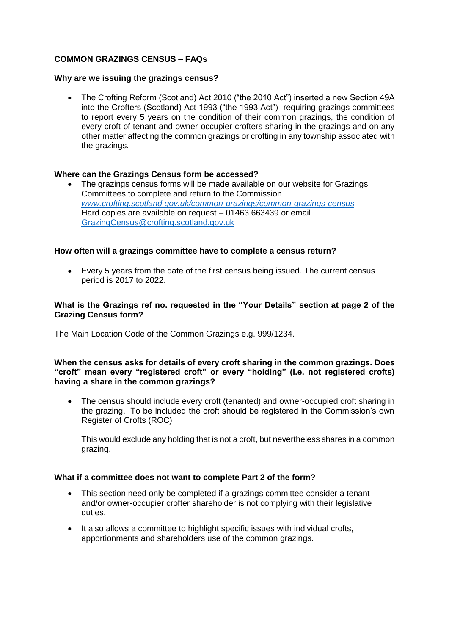# **COMMON GRAZINGS CENSUS – FAQs**

#### **Why are we issuing the grazings census?**

 The Crofting Reform (Scotland) Act 2010 ("the 2010 Act") inserted a new Section 49A into the Crofters (Scotland) Act 1993 ("the 1993 Act") requiring grazings committees to report every 5 years on the condition of their common grazings, the condition of every croft of tenant and owner-occupier crofters sharing in the grazings and on any other matter affecting the common grazings or crofting in any township associated with the grazings.

# **Where can the Grazings Census form be accessed?**

 The grazings census forms will be made available on our website for Grazings Committees to complete and return to the Commission *[www.crofting.scotland.gov.uk/common-grazings/common-grazings-census](http://www.crofting.scotland.gov.uk/common-grazings/common-grazings-census)*  Hard copies are available on request – 01463 663439 or email [GrazingCensus@crofting.scotland.gov.uk](mailto:GrazingCensus@crofting.scotland.gov.uk)

# **How often will a grazings committee have to complete a census return?**

 Every 5 years from the date of the first census being issued. The current census period is 2017 to 2022.

### **What is the Grazings ref no. requested in the "Your Details" section at page 2 of the Grazing Census form?**

The Main Location Code of the Common Grazings e.g. 999/1234.

#### **When the census asks for details of every croft sharing in the common grazings. Does "croft" mean every "registered croft" or every "holding" (i.e. not registered crofts) having a share in the common grazings?**

 The census should include every croft (tenanted) and owner-occupied croft sharing in the grazing. To be included the croft should be registered in the Commission's own Register of Crofts (ROC)

This would exclude any holding that is not a croft, but nevertheless shares in a common grazing.

#### **What if a committee does not want to complete Part 2 of the form?**

- This section need only be completed if a grazings committee consider a tenant and/or owner-occupier crofter shareholder is not complying with their legislative duties.
- It also allows a committee to highlight specific issues with individual crofts, apportionments and shareholders use of the common grazings.